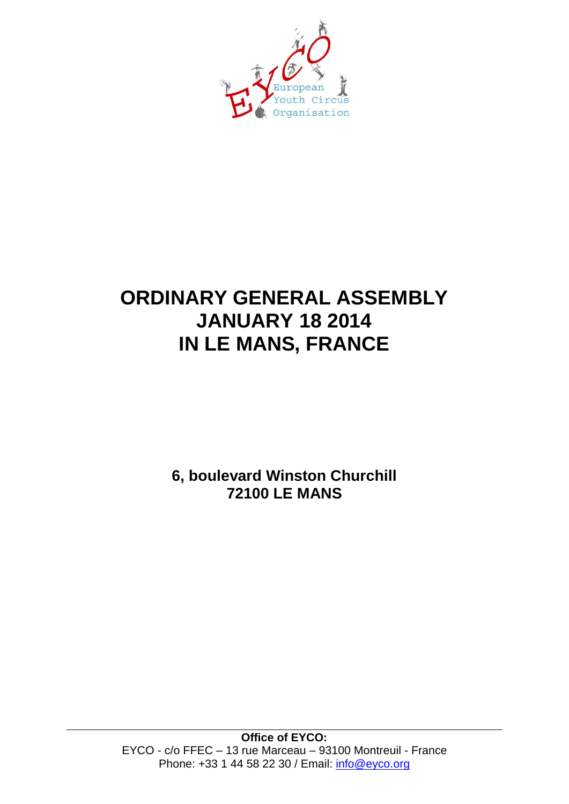

# **ORDINARY GENERAL ASSEMBLY JANUARY 18 2014 IN LE MANS, FRANCE**

**6, boulevard Winston Churchill 72100 LE MANS**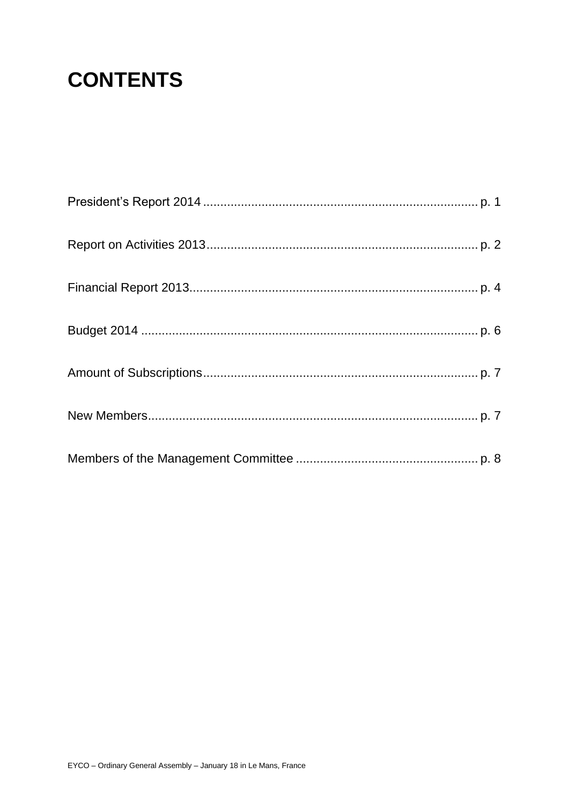# **CONTENTS**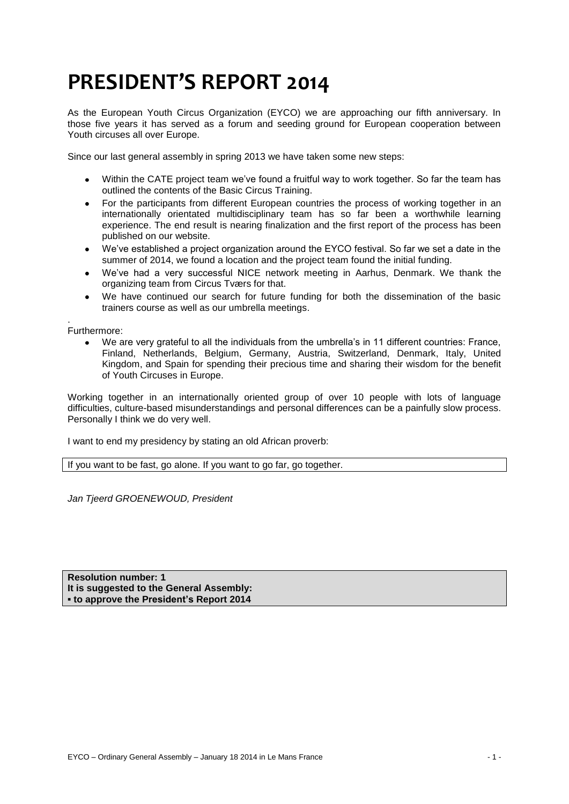# **PRESIDENT'S REPORT 2014**

As the European Youth Circus Organization (EYCO) we are approaching our fifth anniversary. In those five years it has served as a forum and seeding ground for European cooperation between Youth circuses all over Europe.

Since our last general assembly in spring 2013 we have taken some new steps:

- Within the CATE project team we've found a fruitful way to work together. So far the team has outlined the contents of the Basic Circus Training.
- For the participants from different European countries the process of working together in an internationally orientated multidisciplinary team has so far been a worthwhile learning experience. The end result is nearing finalization and the first report of the process has been published on our website.
- We've established a project organization around the EYCO festival. So far we set a date in the summer of 2014, we found a location and the project team found the initial funding.
- We've had a very successful NICE network meeting in Aarhus, Denmark. We thank the organizing team from Circus Tværs for that.
- We have continued our search for future funding for both the dissemination of the basic trainers course as well as our umbrella meetings.

. Furthermore:

> We are very grateful to all the individuals from the umbrella's in 11 different countries: France, Finland, Netherlands, Belgium, Germany, Austria, Switzerland, Denmark, Italy, United Kingdom, and Spain for spending their precious time and sharing their wisdom for the benefit of Youth Circuses in Europe.

Working together in an internationally oriented group of over 10 people with lots of language difficulties, culture-based misunderstandings and personal differences can be a painfully slow process. Personally I think we do very well.

I want to end my presidency by stating an old African proverb:

If you want to be fast, go alone. If you want to go far, go together.

*Jan Tjeerd GROENEWOUD, President*

**Resolution number: 1 It is suggested to the General Assembly: ▪ to approve the President's Report 2014**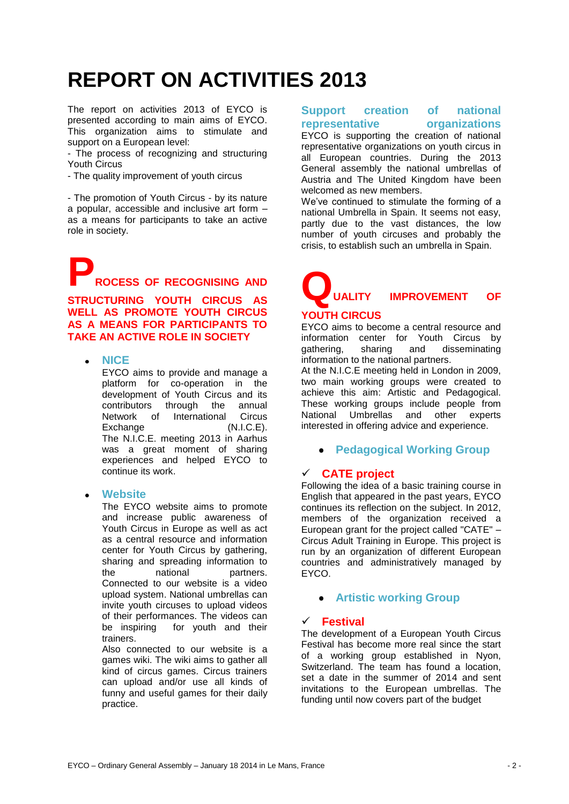# **REPORT ON ACTIVITIES 2013**

The report on activities 2013 of EYCO is presented according to main aims of EYCO. This organization aims to stimulate and support on a European level:

- The process of recognizing and structuring Youth Circus

- The quality improvement of youth circus

- The promotion of Youth Circus - by its nature a popular, accessible and inclusive art form – as a means for participants to take an active role in society.

**PROCESS OF RECOGNISING AND** 

**STRUCTURING YOUTH CIRCUS AS WELL AS PROMOTE YOUTH CIRCUS AS A MEANS FOR PARTICIPANTS TO TAKE AN ACTIVE ROLE IN SOCIETY** 

**NICE**

EYCO aims to provide and manage a platform for co-operation in the development of Youth Circus and its contributors through the annual Network of International Circus Exchange (N.I.C.E). The N.I.C.E. meeting 2013 in Aarhus was a great moment of sharing experiences and helped EYCO to continue its work.

**Website** 

The EYCO website aims to promote and increase public awareness of Youth Circus in Europe as well as act as a central resource and information center for Youth Circus by gathering, sharing and spreading information to the national partners. Connected to our website is a video upload system. National umbrellas can invite youth circuses to upload videos of their performances. The videos can be inspiring for youth and their trainers.

Also connected to our website is a games wiki. The wiki aims to gather all kind of circus games. Circus trainers can upload and/or use all kinds of funny and useful games for their daily practice.

## **Support creation of national representative organizations**

EYCO is supporting the creation of national representative organizations on youth circus in all European countries. During the 2013 General assembly the national umbrellas of Austria and The United Kingdom have been welcomed as new members.

We've continued to stimulate the forming of a national Umbrella in Spain. It seems not easy, partly due to the vast distances, the low number of youth circuses and probably the crisis, to establish such an umbrella in Spain.

# **QUALITY IMPROVEMENT OF**

## **YOUTH CIRCUS**

EYCO aims to become a central resource and information center for Youth Circus by gathering, sharing and disseminating information to the national partners.

At the N.I.C.E meeting held in London in 2009, two main working groups were created to achieve this aim: Artistic and Pedagogical. These working groups include people from National Umbrellas and other experts interested in offering advice and experience.

**Pedagogical Working Group** 

## **CATE project**

Following the idea of a basic training course in English that appeared in the past years, EYCO continues its reflection on the subject. In 2012, members of the organization received a European grant for the project called "CATE" – Circus Adult Training in Europe. This project is run by an organization of different European countries and administratively managed by EYCO.

## **Artistic working Group**

## **Festival**

The development of a European Youth Circus Festival has become more real since the start of a working group established in Nyon, Switzerland. The team has found a location, set a date in the summer of 2014 and sent invitations to the European umbrellas. The funding until now covers part of the budget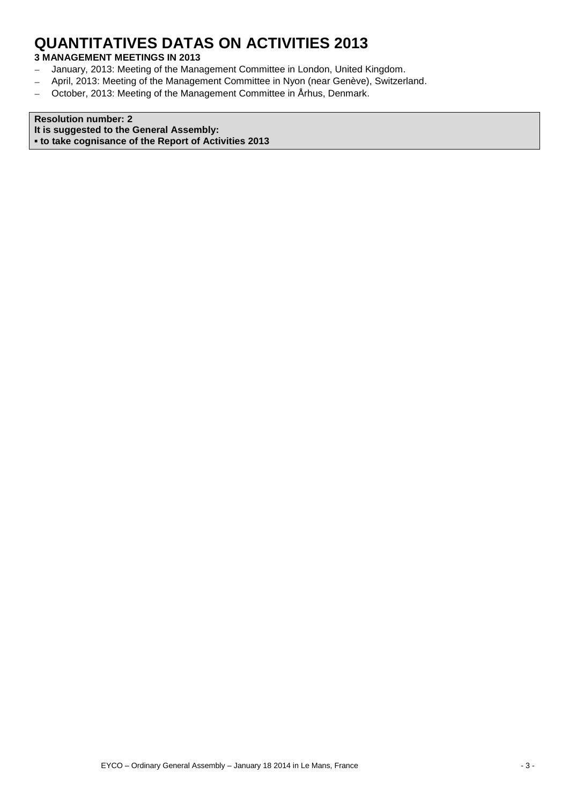## **QUANTITATIVES DATAS ON ACTIVITIES 2013**

## **3 MANAGEMENT MEETINGS IN 2013**

- January, 2013: Meeting of the Management Committee in London, United Kingdom.  $\frac{1}{2}$
- April, 2013: Meeting of the Management Committee in Nyon (near Genève), Switzerland.  $\overline{\phantom{0}}$
- October, 2013: Meeting of the Management Committee in Århus, Denmark.  $\frac{1}{2}$

**Resolution number: 2 It is suggested to the General Assembly: ▪ to take cognisance of the Report of Activities 2013**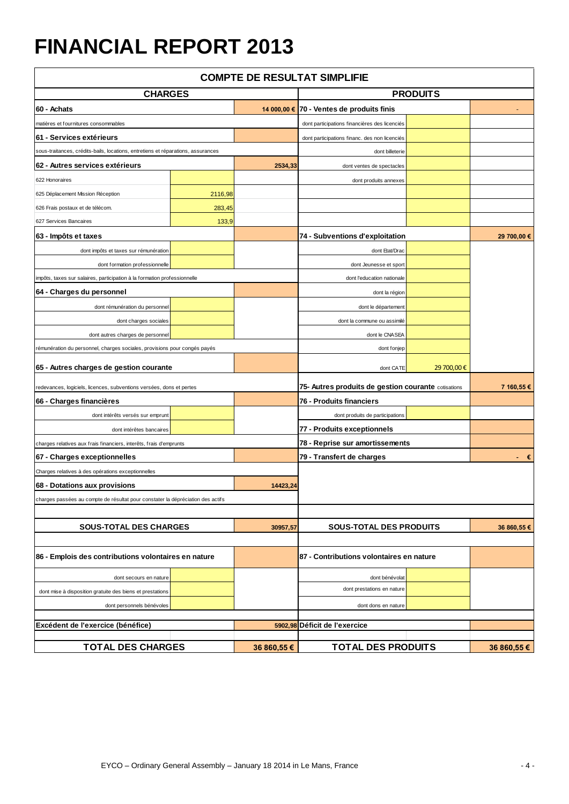# **FINANCIAL REPORT 2013**

| <b>COMPTE DE RESULTAT SIMPLIFIE</b>                                              |                                                                                 |                                          |                                                     |            |             |
|----------------------------------------------------------------------------------|---------------------------------------------------------------------------------|------------------------------------------|-----------------------------------------------------|------------|-------------|
| <b>CHARGES</b>                                                                   |                                                                                 |                                          | <b>PRODUITS</b>                                     |            |             |
| 60 - Achats                                                                      |                                                                                 | 14 000,00 €                              | 70 - Ventes de produits finis                       |            |             |
| matières et fournitures consommables                                             |                                                                                 |                                          | dont participations financières des licenciés       |            |             |
| 61 - Services extérieurs                                                         |                                                                                 |                                          | dont participations financ. des non licenciés       |            |             |
| sous-traitances, crédits-bails, locations, entretiens et réparations, assurances |                                                                                 |                                          | dont billeterie                                     |            |             |
| 62 - Autres services extérieurs                                                  |                                                                                 | 2534,33                                  | dont ventes de spectacles                           |            |             |
| 622 Honoraires                                                                   |                                                                                 |                                          | dont produits annexes                               |            |             |
| 625 Déplacement Mission Réception                                                | 2116,98                                                                         |                                          |                                                     |            |             |
| 626 Frais postaux et de télécom.                                                 | 283,45                                                                          |                                          |                                                     |            |             |
| 627 Services Bancaires                                                           | 133,9                                                                           |                                          |                                                     |            |             |
| 63 - Impôts et taxes                                                             |                                                                                 |                                          | 74 - Subventions d'exploitation                     |            | 29 700,00 € |
| dont impôts et taxes sur rémunération                                            |                                                                                 |                                          | dont Etat/Drac                                      |            |             |
| dont formation professionnelle                                                   |                                                                                 |                                          | dont Jeunesse et sport                              |            |             |
| impôts, taxes sur salaires, participation à la formation professionnelle         |                                                                                 |                                          | dont l'education nationale                          |            |             |
| 64 - Charges du personnel                                                        |                                                                                 |                                          | dont la région                                      |            |             |
| dont rémunération du personnel                                                   |                                                                                 |                                          | dont le département                                 |            |             |
| dont charges sociales                                                            |                                                                                 |                                          | dont la commune ou assimilé                         |            |             |
| dont autres charges de personnel                                                 |                                                                                 |                                          | dont le CNASEA                                      |            |             |
| rémunération du personnel, charges sociales, provisions pour congés payés        |                                                                                 |                                          | dont fonjep                                         |            |             |
| 65 - Autres charges de gestion courante                                          |                                                                                 |                                          | dont CATE                                           | 29 700,00€ |             |
|                                                                                  |                                                                                 |                                          |                                                     |            |             |
| redevances, logiciels, licences, subventions versées, dons et pertes             |                                                                                 |                                          | 75- Autres produits de gestion courante cotisations |            | 7 160,55 €  |
| 66 - Charges financières                                                         |                                                                                 |                                          | 76 - Produits financiers                            |            |             |
| dont intérêts versés sur emprunt                                                 |                                                                                 |                                          | dont produits de participations                     |            |             |
| dont intérêtes bancaires                                                         |                                                                                 |                                          | 77 - Produits exceptionnels                         |            |             |
| charges relatives aux frais financiers, interêts, frais d'emprunts               |                                                                                 |                                          | 78 - Reprise sur amortissements                     |            |             |
| 67 - Charges exceptionnelles                                                     |                                                                                 |                                          | 79 - Transfert de charges                           |            | €           |
| Charges relatives à des opérations exceptionnelles                               |                                                                                 |                                          |                                                     |            |             |
| 68 - Dotations aux provisions                                                    |                                                                                 | 14423,24                                 |                                                     |            |             |
|                                                                                  | charges passées au compte de résultat pour constater la dépréciation des actifs |                                          |                                                     |            |             |
|                                                                                  |                                                                                 | 30957,57                                 | <b>SOUS-TOTAL DES PRODUITS</b>                      |            | 36 860,55 € |
| <b>SOUS-TOTAL DES CHARGES</b>                                                    |                                                                                 |                                          |                                                     |            |             |
| 86 - Emplois des contributions volontaires en nature                             |                                                                                 | 87 - Contributions volontaires en nature |                                                     |            |             |
| dont secours en nature                                                           |                                                                                 |                                          | dont bénévolat                                      |            |             |
| dont mise à disposition gratuite des biens et prestations                        |                                                                                 |                                          | dont prestations en nature                          |            |             |
| dont personnels bénévoles                                                        |                                                                                 |                                          | dont dons en nature                                 |            |             |
|                                                                                  |                                                                                 |                                          |                                                     |            |             |
| Excédent de l'exercice (bénéfice)                                                |                                                                                 |                                          | 5902,98 Déficit de l'exercice                       |            |             |
| <b>TOTAL DES CHARGES</b>                                                         |                                                                                 | 36 860,55 €                              | <b>TOTAL DES PRODUITS</b>                           |            | 36 860,55 € |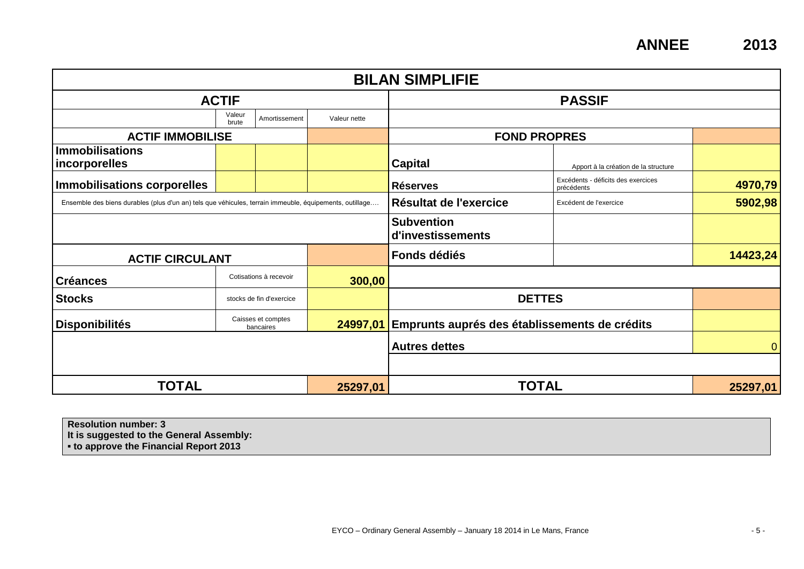**ANNEE 2013**

| <b>BILAN SIMPLIFIE</b>                                                                                  |                 |                                 |                                        |                                               |                                                  |          |
|---------------------------------------------------------------------------------------------------------|-----------------|---------------------------------|----------------------------------------|-----------------------------------------------|--------------------------------------------------|----------|
| <b>ACTIF</b>                                                                                            |                 |                                 | <b>PASSIF</b>                          |                                               |                                                  |          |
|                                                                                                         | Valeur<br>brute | Amortissement                   | Valeur nette                           |                                               |                                                  |          |
| <b>ACTIF IMMOBILISE</b>                                                                                 |                 |                                 |                                        | <b>FOND PROPRES</b>                           |                                                  |          |
| <b>Immobilisations</b><br>incorporelles                                                                 |                 |                                 |                                        | <b>Capital</b>                                | Apport à la création de la structure             |          |
| <b>Immobilisations corporelles</b>                                                                      |                 |                                 |                                        | <b>Réserves</b>                               | Excédents - déficits des exercices<br>précédents | 4970,79  |
| Ensemble des biens durables (plus d'un an) tels que véhicules, terrain immeuble, équipements, outillage |                 |                                 | Résultat de l'exercice                 | Excédent de l'exercice                        | 5902,98                                          |          |
|                                                                                                         |                 |                                 | <b>Subvention</b><br>d'investissements |                                               |                                                  |          |
| <b>ACTIF CIRCULANT</b>                                                                                  |                 |                                 | Fonds dédiés                           |                                               | 14423,24                                         |          |
| <b>Créances</b>                                                                                         |                 | Cotisations à recevoir          | 300,00                                 |                                               |                                                  |          |
| <b>Stocks</b>                                                                                           |                 | stocks de fin d'exercice        |                                        |                                               | <b>DETTES</b>                                    |          |
| <b>Disponibilités</b>                                                                                   |                 | Caisses et comptes<br>bancaires | 24997,01                               | Emprunts auprés des établissements de crédits |                                                  |          |
|                                                                                                         |                 |                                 | <b>Autres dettes</b>                   |                                               | $\mathbf{0}$                                     |          |
|                                                                                                         |                 |                                 |                                        |                                               |                                                  |          |
| <b>TOTAL</b>                                                                                            |                 |                                 | 25297,01                               |                                               | <b>TOTAL</b>                                     | 25297,01 |

**Resolution number: 3 It is suggested to the General Assembly: ▪ to approve the Financial Report 2013**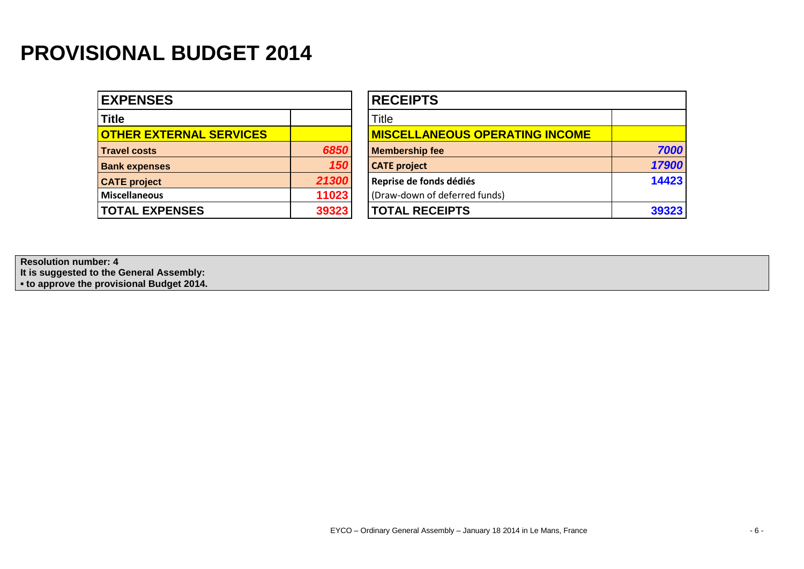# **PROVISIONAL BUDGET 2014**

| <b>EXPENSES</b>                |       | <b>RECEIPTS</b>                       |
|--------------------------------|-------|---------------------------------------|
| <b>Title</b>                   |       | <b>Title</b>                          |
| <b>OTHER EXTERNAL SERVICES</b> |       | <b>MISCELLANEOUS OPERATING INCOME</b> |
| <b>Travel costs</b>            | 6850  | <b>Membership fee</b>                 |
| <b>Bank expenses</b>           | 150   | <b>CATE</b> project                   |
| <b>CATE</b> project            | 21300 | Reprise de fonds dédiés               |
| <b>Miscellaneous</b>           | 11023 | (Draw-down of deferred funds)         |
| <b>TOTAL EXPENSES</b>          | 39323 | <b>TOTAL RECEIPTS</b>                 |

| <b>RECEIPTS</b>                        |       |  |
|----------------------------------------|-------|--|
| Title                                  |       |  |
| <b>MISCELLANEOUS OPERATING INCOME</b>  |       |  |
| 6850<br><b>Membership fee</b>          | 7000  |  |
| 150<br><b>CATE</b> project             | 17900 |  |
| 21300<br>Reprise de fonds dédiés       | 14423 |  |
| 11023<br>(Draw-down of deferred funds) |       |  |
| <b>TOTAL RECEIPTS</b><br>39323         | 39323 |  |
|                                        |       |  |

**Resolution number: 4 It is suggested to the General Assembly: ▪ to approve the provisional Budget 2014.**